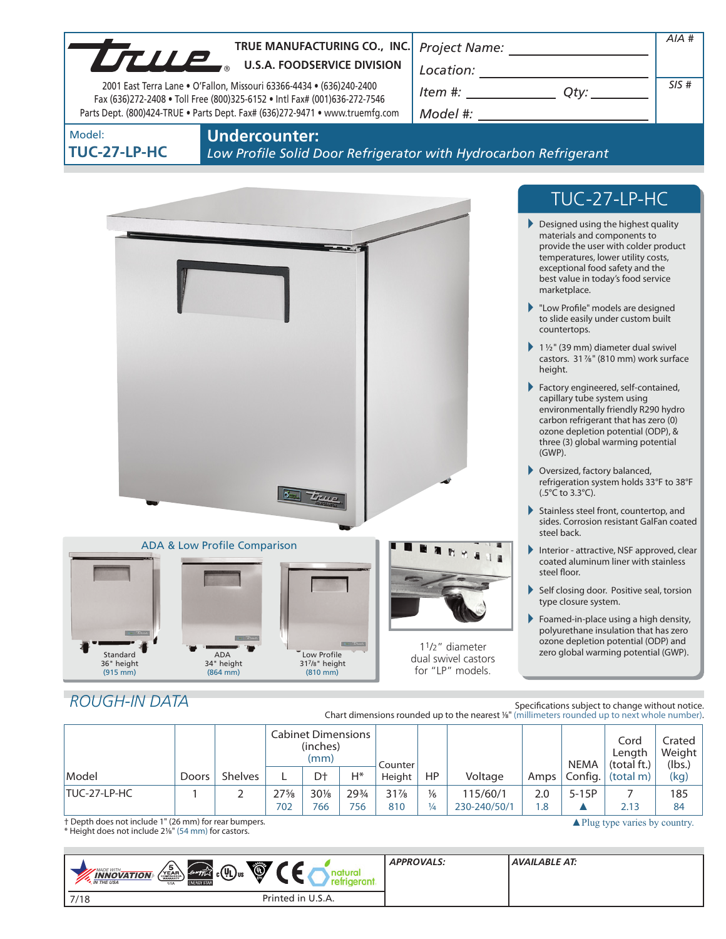

# *ROUGH-IN DATA*

Specifications subject to change without notice. Chart dimensions rounded up to the nearest %" (millimeters rounded up to next whole number).

|              |       |                | <b>Cabinet Dimensions</b><br>(inches)<br>(mm) |        |       | Counter |               |              |      | <b>NEMA</b> | Cord<br>Lenath<br>(total ft.) | Crated<br>Weight<br>(lbs.) |
|--------------|-------|----------------|-----------------------------------------------|--------|-------|---------|---------------|--------------|------|-------------|-------------------------------|----------------------------|
| Model        | Doors | <b>Shelves</b> |                                               | Dt     | $H^*$ | Height  | <b>HP</b>     | Voltage      | Amps | Config.     | (total m)                     | (kg)                       |
| TUC-27-LP-HC |       |                | $27\frac{5}{8}$                               | $30\%$ | 293/4 | $31\%$  | $\frac{1}{6}$ | 115/60/1     | 2.0  | $5-15P$     |                               | 185                        |
|              |       |                | 702                                           | 766    | 756   | 810     | 1⁄4           | 230-240/50/1 | 1.8  |             | 2.13                          | 84                         |

† Depth does not include 1" (26 mm) for rear bumpers. † Depth does not include 1" (26 mm) for rear bumpers.<br>\* Height does not include 21⁄8" (54 mm) for castors. △<br>→ Neight does not include 21⁄8" (54 mm) for castors.

| Ó<br>$\sqrt{\frac{5}{\text{YEAR}}\sqrt{\frac{2}{\text{WAMARY}}}}$<br><i><b>Envrying</b></i> $_c$ ( <b>41</b> ) us<br><b>MADE WITH_</b><br><b>INNOVATION</b><br><b>M</b> THE USA<br><b>ENERGY STAR</b><br><b>USA</b> | <b>APPROVALS:</b> | AVAILABLE AT: |
|---------------------------------------------------------------------------------------------------------------------------------------------------------------------------------------------------------------------|-------------------|---------------|
| Printed in U.S.A.<br>7/18                                                                                                                                                                                           |                   |               |